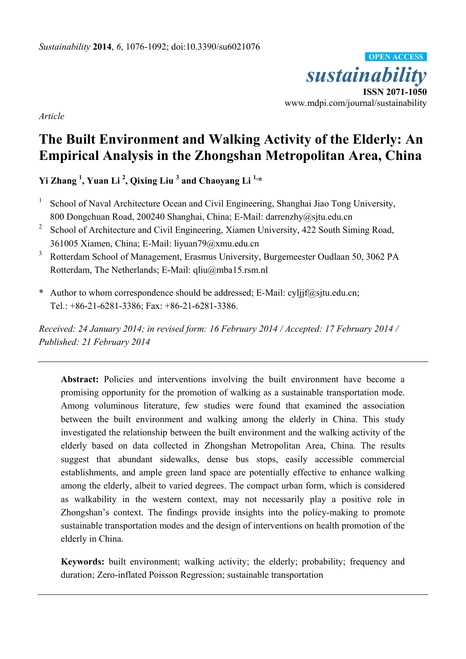*sustainability* **ISSN 2071-1050** www.mdpi.com/journal/sustainability **OPEN ACCESS**

*Article*

# **The Built Environment and Walking Activity of the Elderly: An Empirical Analysis in the Zhongshan Metropolitan Area, China**

**Yi Zhang <sup>1</sup> , Yuan Li <sup>2</sup> , Qixing Liu <sup>3</sup> and Chaoyang Li 1,\***

- 1 School of Naval Architecture Ocean and Civil Engineering, Shanghai Jiao Tong University, 800 Dongchuan Road, 200240 Shanghai, China; E-Mail: darrenzhy@sjtu.edu.cn
- <sup>2</sup> School of Architecture and Civil Engineering, Xiamen University, 422 South Siming Road, 361005 Xiamen, China; E-Mail: liyuan79@xmu.edu.cn
- <sup>3</sup> Rotterdam School of Management, Erasmus University, Burgemeester Oudlaan 50, 3062 PA Rotterdam, The Netherlands; E-Mail: qliu@mba15.rsm.nl
- **\*** Author to whom correspondence should be addressed; E-Mail: cyljjf@sjtu.edu.cn; Tel.: +86-21-6281-3386; Fax: +86-21-6281-3386.

*Received: 24 January 2014; in revised form: 16 February 2014 / Accepted: 17 February 2014 / Published: 21 February 2014*

**Abstract:** Policies and interventions involving the built environment have become a promising opportunity for the promotion of walking as a sustainable transportation mode. Among voluminous literature, few studies were found that examined the association between the built environment and walking among the elderly in China. This study investigated the relationship between the built environment and the walking activity of the elderly based on data collected in Zhongshan Metropolitan Area, China. The results suggest that abundant sidewalks, dense bus stops, easily accessible commercial establishments, and ample green land space are potentially effective to enhance walking among the elderly, albeit to varied degrees. The compact urban form, which is considered as walkability in the western context, may not necessarily play a positive role in Zhongshan's context. The findings provide insights into the policy-making to promote sustainable transportation modes and the design of interventions on health promotion of the elderly in China.

**Keywords:** built environment; walking activity; the elderly; probability; frequency and duration; Zero-inflated Poisson Regression; sustainable transportation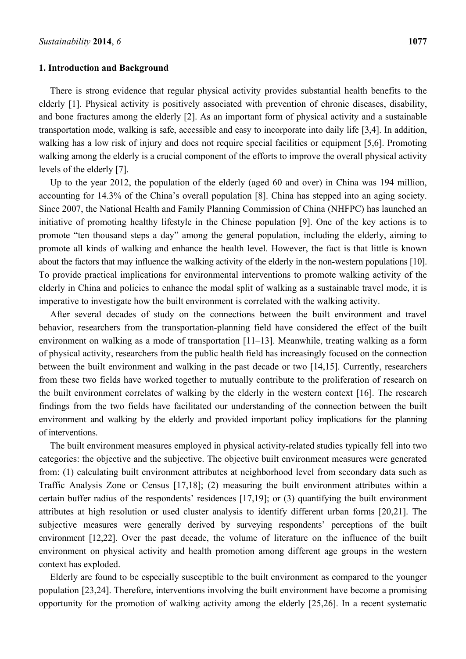#### **1. Introduction and Background**

There is strong evidence that regular physical activity provides substantial health benefits to the elderly [1]. Physical activity is positively associated with prevention of chronic diseases, disability, and bone fractures among the elderly [2]. As an important form of physical activity and a sustainable transportation mode, walking is safe, accessible and easy to incorporate into daily life [3,4]. In addition, walking has a low risk of injury and does not require special facilities or equipment [5,6]. Promoting walking among the elderly is a crucial component of the efforts to improve the overall physical activity levels of the elderly [7].

Up to the year 2012, the population of the elderly (aged 60 and over) in China was 194 million, accounting for 14.3% of the China's overall population [8]. China has stepped into an aging society. Since 2007, the National Health and Family Planning Commission of China (NHFPC) has launched an initiative of promoting healthy lifestyle in the Chinese population [9]. One of the key actions is to promote "ten thousand steps a day" among the general population, including the elderly, aiming to promote all kinds of walking and enhance the health level. However, the fact is that little is known about the factors that may influence the walking activity of the elderly in the non-western populations [10]. To provide practical implications for environmental interventions to promote walking activity of the elderly in China and policies to enhance the modal split of walking as a sustainable travel mode, it is imperative to investigate how the built environment is correlated with the walking activity.

After several decades of study on the connections between the built environment and travel behavior, researchers from the transportation-planning field have considered the effect of the built environment on walking as a mode of transportation [11–13]. Meanwhile, treating walking as a form of physical activity, researchers from the public health field has increasingly focused on the connection between the built environment and walking in the past decade or two [14,15]. Currently, researchers from these two fields have worked together to mutually contribute to the proliferation of research on the built environment correlates of walking by the elderly in the western context [16]. The research findings from the two fields have facilitated our understanding of the connection between the built environment and walking by the elderly and provided important policy implications for the planning of interventions.

The built environment measures employed in physical activity-related studies typically fell into two categories: the objective and the subjective. The objective built environment measures were generated from: (1) calculating built environment attributes at neighborhood level from secondary data such as Traffic Analysis Zone or Census [17,18]; (2) measuring the built environment attributes within a certain buffer radius of the respondents' residences [17,19]; or (3) quantifying the built environment attributes at high resolution or used cluster analysis to identify different urban forms [20,21]. The subjective measures were generally derived by surveying respondents' perceptions of the built environment [12,22]. Over the past decade, the volume of literature on the influence of the built environment on physical activity and health promotion among different age groups in the western context has exploded.

Elderly are found to be especially susceptible to the built environment as compared to the younger population [23,24]. Therefore, interventions involving the built environment have become a promising opportunity for the promotion of walking activity among the elderly [25,26]. In a recent systematic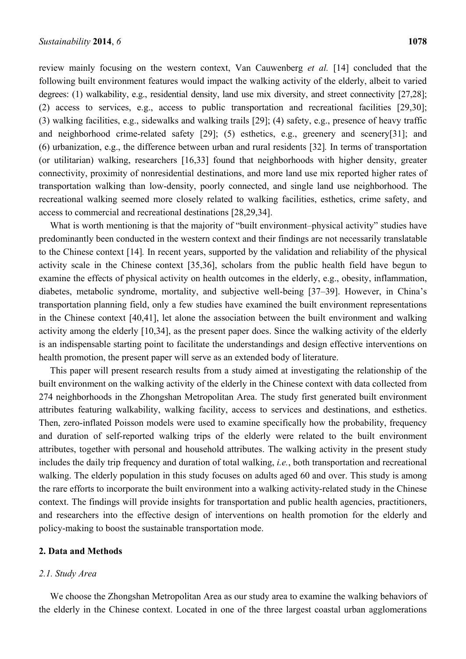review mainly focusing on the western context, Van Cauwenberg *et al.* [14] concluded that the following built environment features would impact the walking activity of the elderly, albeit to varied degrees: (1) walkability, e.g., residential density, land use mix diversity, and street connectivity [27,28]; (2) access to services, e.g., access to public transportation and recreational facilities [29,30]; (3) walking facilities, e.g., sidewalks and walking trails [29]; (4) safety, e.g., presence of heavy traffic and neighborhood crime-related safety [29]; (5) esthetics, e.g., greenery and scenery[31]; and (6) urbanization, e.g., the difference between urban and rural residents [32]*.* In terms of transportation (or utilitarian) walking, researchers [16,33] found that neighborhoods with higher density, greater connectivity, proximity of nonresidential destinations, and more land use mix reported higher rates of transportation walking than low-density, poorly connected, and single land use neighborhood. The recreational walking seemed more closely related to walking facilities, esthetics, crime safety, and access to commercial and recreational destinations [28,29,34].

What is worth mentioning is that the majority of "built environment-physical activity" studies have predominantly been conducted in the western context and their findings are not necessarily translatable to the Chinese context [14]*.* In recent years, supported by the validation and reliability of the physical activity scale in the Chinese context [35,36], scholars from the public health field have begun to examine the effects of physical activity on health outcomes in the elderly, e.g., obesity, inflammation, diabetes, metabolic syndrome, mortality, and subjective well-being [37–39]. However, in China's transportation planning field, only a few studies have examined the built environment representations in the Chinese context [40,41], let alone the association between the built environment and walking activity among the elderly [10,34], as the present paper does. Since the walking activity of the elderly is an indispensable starting point to facilitate the understandings and design effective interventions on health promotion, the present paper will serve as an extended body of literature.

This paper will present research results from a study aimed at investigating the relationship of the built environment on the walking activity of the elderly in the Chinese context with data collected from 274 neighborhoods in the Zhongshan Metropolitan Area. The study first generated built environment attributes featuring walkability, walking facility, access to services and destinations, and esthetics. Then, zero-inflated Poisson models were used to examine specifically how the probability, frequency and duration of self-reported walking trips of the elderly were related to the built environment attributes, together with personal and household attributes. The walking activity in the present study includes the daily trip frequency and duration of total walking, *i.e.*, both transportation and recreational walking. The elderly population in this study focuses on adults aged 60 and over. This study is among the rare efforts to incorporate the built environment into a walking activity-related study in the Chinese context. The findings will provide insights for transportation and public health agencies, practitioners, and researchers into the effective design of interventions on health promotion for the elderly and policy-making to boost the sustainable transportation mode.

#### **2. Data and Methods**

#### *2.1. Study Area*

We choose the Zhongshan Metropolitan Area as our study area to examine the walking behaviors of the elderly in the Chinese context. Located in one of the three largest coastal urban agglomerations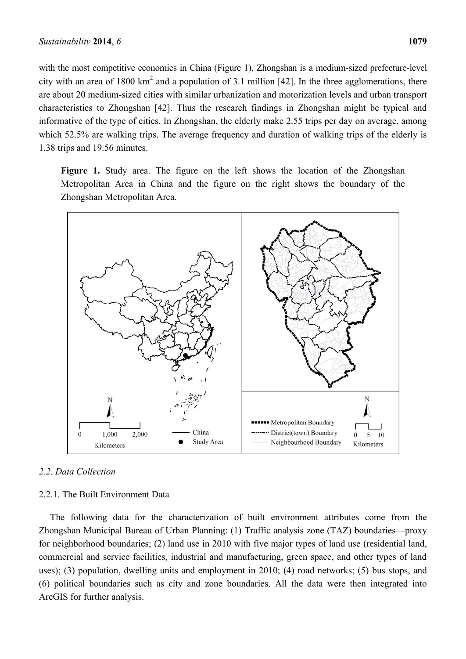with the most competitive economies in China (Figure 1), Zhongshan is a medium-sized prefecture-level city with an area of 1800  $km^2$  and a population of 3.1 million [42]. In the three agglomerations, there are about 20 medium-sized cities with similar urbanization and motorization levels and urban transport characteristics to Zhongshan [42]. Thus the research findings in Zhongshan might be typical and informative of the type of cities. In Zhongshan, the elderly make 2.55 trips per day on average, among which 52.5% are walking trips. The average frequency and duration of walking trips of the elderly is 1.38 trips and 19.56 minutes.

**Figure 1.** Study area. The figure on the left shows the location of the Zhongshan Metropolitan Area in China and the figure on the right shows the boundary of the Zhongshan Metropolitan Area.



## *2.2. Data Collection*

### 2.2.1. The Built Environment Data

The following data for the characterization of built environment attributes come from the Zhongshan Municipal Bureau of Urban Planning: (1) Traffic analysis zone (TAZ) boundaries—proxy for neighborhood boundaries; (2) land use in 2010 with five major types of land use (residential land, commercial and service facilities, industrial and manufacturing, green space, and other types of land uses); (3) population, dwelling units and employment in 2010; (4) road networks; (5) bus stops, and (6) political boundaries such as city and zone boundaries. All the data were then integrated into ArcGIS for further analysis.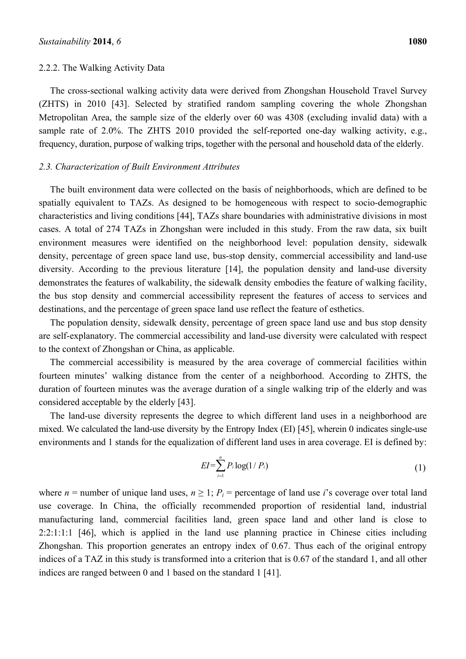#### 2.2.2. The Walking Activity Data

The cross-sectional walking activity data were derived from Zhongshan Household Travel Survey (ZHTS) in 2010 [43]. Selected by stratified random sampling covering the whole Zhongshan Metropolitan Area, the sample size of the elderly over 60 was 4308 (excluding invalid data) with a sample rate of 2.0%. The ZHTS 2010 provided the self-reported one-day walking activity, e.g., frequency, duration, purpose of walking trips, together with the personal and household data of the elderly.

## *2.3. Characterization of Built Environment Attributes*

The built environment data were collected on the basis of neighborhoods, which are defined to be spatially equivalent to TAZs. As designed to be homogeneous with respect to socio-demographic characteristics and living conditions [44], TAZs share boundaries with administrative divisions in most cases. A total of 274 TAZs in Zhongshan were included in this study. From the raw data, six built environment measures were identified on the neighborhood level: population density, sidewalk density, percentage of green space land use, bus-stop density, commercial accessibility and land-use diversity. According to the previous literature [14], the population density and land-use diversity demonstrates the features of walkability, the sidewalk density embodies the feature of walking facility, the bus stop density and commercial accessibility represent the features of access to services and destinations, and the percentage of green space land use reflect the feature of esthetics.

The population density, sidewalk density, percentage of green space land use and bus stop density are self-explanatory. The commercial accessibility and land-use diversity were calculated with respect to the context of Zhongshan or China, as applicable.

The commercial accessibility is measured by the area coverage of commercial facilities within fourteen minutes' walking distance from the center of a neighborhood. According to ZHTS, the duration of fourteen minutes was the average duration of a single walking trip of the elderly and was considered acceptable by the elderly [43].

The land-use diversity represents the degree to which different land uses in a neighborhood are mixed. We calculated the land-use diversity by the Entropy Index (EI) [45], wherein 0 indicates single-use environments and 1 stands for the equalization of different land uses in area coverage. EI is defined by:

$$
EI = \sum_{i=1}^{n} P_i \log(1/P_i)
$$
 (1)

where  $n =$  number of unique land uses,  $n \geq 1$ ;  $P_i =$  percentage of land use *i*'s coverage over total land use coverage. In China, the officially recommended proportion of residential land, industrial manufacturing land, commercial facilities land, green space land and other land is close to 2:2:1:1:1 [46], which is applied in the land use planning practice in Chinese cities including Zhongshan. This proportion generates an entropy index of 0.67. Thus each of the original entropy indices of a TAZ in this study is transformed into a criterion that is 0.67 of the standard 1, and all other indices are ranged between 0 and 1 based on the standard 1 [41].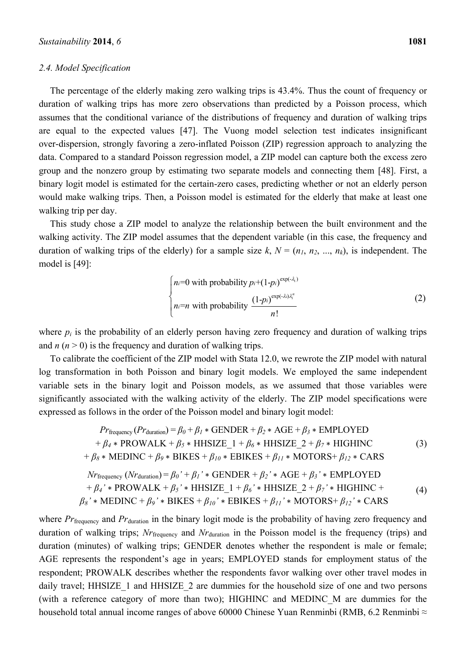### *2.4. Model Specification*

The percentage of the elderly making zero walking trips is 43.4%. Thus the count of frequency or duration of walking trips has more zero observations than predicted by a Poisson process, which assumes that the conditional variance of the distributions of frequency and duration of walking trips are equal to the expected values [47]. The Vuong model selection test indicates insignificant over-dispersion, strongly favoring a zero-inflated Poisson (ZIP) regression approach to analyzing the data. Compared to a standard Poisson regression model, a ZIP model can capture both the excess zero group and the nonzero group by estimating two separate models and connecting them [48]. First, a binary logit model is estimated for the certain-zero cases, predicting whether or not an elderly person would make walking trips. Then, a Poisson model is estimated for the elderly that make at least one walking trip per day.

This study chose a ZIP model to analyze the relationship between the built environment and the walking activity. The ZIP model assumes that the dependent variable (in this case, the frequency and duration of walking trips of the elderly) for a sample size  $k$ ,  $N = (n_1, n_2, ..., n_k)$ , is independent. The model is [49]:

$$
\begin{cases}\nn = 0 \text{ with probability } p_i + (1 - p_i)^{\exp(-\lambda_i)} \\
n_i = n \text{ with probability } \frac{(1 - p_i)^{\exp(-\lambda_i)\lambda_i^n}}{n!}\n\end{cases}
$$
\n(2)

where  $p_i$  is the probability of an elderly person having zero frequency and duration of walking trips and  $n (n > 0)$  is the frequency and duration of walking trips.

To calibrate the coefficient of the ZIP model with Stata 12.0, we rewrote the ZIP model with natural log transformation in both Poisson and binary logit models. We employed the same independent variable sets in the binary logit and Poisson models, as we assumed that those variables were significantly associated with the walking activity of the elderly. The ZIP model specifications were expressed as follows in the order of the Poisson model and binary logit model:

$$
Pr_{\text{frequency}}(Pr_{\text{duration}}) = \beta_0 + \beta_1 * \text{GENDER} + \beta_2 * \text{AGE} + \beta_3 * \text{EMPLOYED}
$$
  
+  $\beta_4 * \text{PROWALK} + \beta_5 * \text{HHSIZE}\_1 + \beta_6 * \text{HHSIZE}\_2 + \beta_7 * \text{HIGHINC}$  (3)  
+  $\beta_8 * \text{MEDINC} + \beta_9 * \text{BIKES} + \beta_{10} * \text{EBIKES} + \beta_{11} * \text{MOTORS} + \beta_{12} * \text{CARS}$   

$$
Nr_{\text{frequency}}(Nr_{\text{duration}}) = \beta_0' + \beta_1' * \text{GENDER} + \beta_2' * \text{AGE} + \beta_3' * \text{EMPLOYED}
$$
  
+  $\beta_4' * \text{PROWALK} + \beta_5' * \text{HHSIZE}\_1 + \beta_6' * \text{HHSIZE}\_2 + \beta_7' * \text{HIGHINC} +$   
 $\beta_8' * \text{MEDINC} + \beta_9' * \text{BIKES} + \beta_{10} * \text{EBIKES} + \beta_{11}' * \text{MOTORS} + \beta_{12}' * \text{CARS}$  (4)

where *Pr*<sub>frequency</sub> and *Pr*<sub>duration</sub> in the binary logit mode is the probability of having zero frequency and duration of walking trips; *Nr*frequency and *Nr*duration in the Poisson model is the frequency (trips) and duration (minutes) of walking trips; GENDER denotes whether the respondent is male or female; AGE represents the respondent's age in years; EMPLOYED stands for employment status of the respondent; PROWALK describes whether the respondents favor walking over other travel modes in daily travel; HHSIZE 1 and HHSIZE 2 are dummies for the household size of one and two persons (with a reference category of more than two); HIGHINC and MEDINC\_M are dummies for the h<sup>or</sup> 0 with probability p+(1-p)<sup>nock</sup><br>
household total annual income ranges of above 60000 Chinese Yuan Renambi (RMB, three responses)<br>
To calibrate the officient of the ZIP model with State 1.20, we rewrote the ZIP mo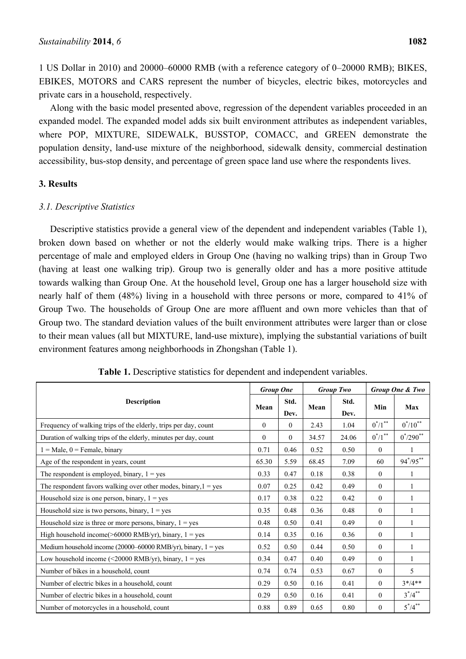1 US Dollar in 2010) and 20000–60000 RMB (with a reference category of 0–20000 RMB); BIKES, EBIKES, MOTORS and CARS represent the number of bicycles, electric bikes, motorcycles and private cars in a household, respectively.

Along with the basic model presented above, regression of the dependent variables proceeded in an expanded model. The expanded model adds six built environment attributes as independent variables, where POP, MIXTURE, SIDEWALK, BUSSTOP, COMACC, and GREEN demonstrate the population density, land-use mixture of the neighborhood, sidewalk density, commercial destination accessibility, bus-stop density, and percentage of green space land use where the respondents lives.

## **3. Results**

## *3.1. Descriptive Statistics*

Descriptive statistics provide a general view of the dependent and independent variables (Table 1), broken down based on whether or not the elderly would make walking trips. There is a higher percentage of male and employed elders in Group One (having no walking trips) than in Group Two (having at least one walking trip). Group two is generally older and has a more positive attitude towards walking than Group One. At the household level, Group one has a larger household size with nearly half of them (48%) living in a household with three persons or more, compared to 41% of Group Two. The households of Group One are more affluent and own more vehicles than that of Group two. The standard deviation values of the built environment attributes were larger than or close to their mean values (all but MIXTURE, land-use mixture), implying the substantial variations of built environment features among neighborhoods in Zhongshan (Table 1).

|                                                                                   | <b>Group One</b> |              |       | <b>Group Two</b> | Group One & Two       |                |
|-----------------------------------------------------------------------------------|------------------|--------------|-------|------------------|-----------------------|----------------|
| <b>Description</b>                                                                | Mean             | Std.<br>Dev. | Mean  | Std.<br>Dev.     | Min                   | Max            |
| Frequency of walking trips of the elderly, trips per day, count                   | $\theta$         | $\theta$     | 2.43  | 1.04             | $0^*/1$ <sup>**</sup> | $0^*/10^{**}$  |
| Duration of walking trips of the elderly, minutes per day, count                  | $\theta$         | $\mathbf{0}$ | 34.57 | 24.06            | $0^*/1$ <sup>**</sup> | $0^*/290^{**}$ |
| $1 = Male$ , $0 = Female$ , binary                                                | 0.71             | 0.46         | 0.52  | 0.50             | $\theta$              | 1              |
| Age of the respondent in years, count                                             | 65.30            | 5.59         | 68.45 | 7.09             | 60                    | $94^*/95^{**}$ |
| The respondent is employed, binary, $1 = yes$                                     | 0.33             | 0.47         | 0.18  | 0.38             | $\theta$              | 1              |
| The respondent favors walking over other modes, binary, $1 = yes$                 | 0.07             | 0.25         | 0.42  | 0.49             | $\theta$              | 1              |
| Household size is one person, binary, $1 = yes$                                   | 0.17             | 0.38         | 0.22  | 0.42             | $\theta$              |                |
| Household size is two persons, binary, $1 = yes$                                  | 0.35             | 0.48         | 0.36  | 0.48             | $\theta$              | 1              |
| Household size is three or more persons, binary, $1 = yes$                        | 0.48             | 0.50         | 0.41  | 0.49             | $\theta$              | 1              |
| High household income( $>60000$ RMB/yr), binary, $1 = yes$                        | 0.14             | 0.35         | 0.16  | 0.36             | $\mathbf{0}$          | $\mathbf{1}$   |
| Medium household income $(20000-60000 \text{ RMS/yr})$ , binary, $1 = \text{yes}$ | 0.52             | 0.50         | 0.44  | 0.50             | $\mathbf{0}$          | 1              |
| Low household income (<20000 RMB/yr), binary, $1 = yes$                           | 0.34             | 0.47         | 0.40  | 0.49             | $\mathbf{0}$          | 1              |
| Number of bikes in a household, count                                             | 0.74             | 0.74         | 0.53  | 0.67             | $\theta$              | 5              |
| Number of electric bikes in a household, count                                    | 0.29             | 0.50         | 0.16  | 0.41             | $\theta$              | $3*/4**$       |
| Number of electric bikes in a household, count                                    | 0.29             | 0.50         | 0.16  | 0.41             | $\theta$              | $3^*/4^{**}$   |
| Number of motorcycles in a household, count                                       | 0.88             | 0.89         | 0.65  | 0.80             | $\theta$              | $5^*/4^{**}$   |

**Table 1.** Descriptive statistics for dependent and independent variables.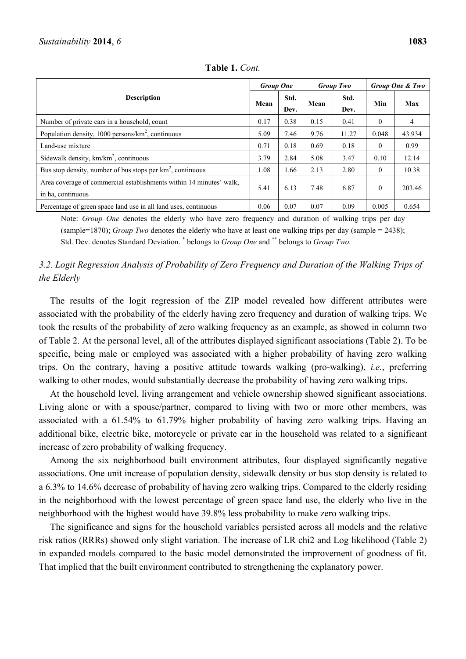| <b>Description</b>                                                                       |      | <b>Group One</b> |      | <b>Group Two</b> |          | Group One & Two |  |
|------------------------------------------------------------------------------------------|------|------------------|------|------------------|----------|-----------------|--|
|                                                                                          |      | Std.<br>Dev.     | Mean | Std.<br>Dev.     | Min      | Max             |  |
| Number of private cars in a household, count                                             | 0.17 | 0.38             | 0.15 | 0.41             | 0        | 4               |  |
| Population density, $1000$ persons/ $km^2$ , continuous                                  | 5.09 | 7.46             | 9.76 | 11.27            | 0.048    | 43.934          |  |
| Land-use mixture                                                                         | 0.71 | 0.18             | 0.69 | 0.18             | 0        | 0.99            |  |
| Sidewalk density, $km/km^2$ , continuous                                                 | 3.79 | 2.84             | 5.08 | 3.47             | 0.10     | 12.14           |  |
| Bus stop density, number of bus stops per $km^2$ , continuous                            | 1.08 | 1.66             | 2.13 | 2.80             | 0        | 10.38           |  |
| Area coverage of commercial establishments within 14 minutes' walk,<br>in ha, continuous | 5.41 | 6.13             | 7.48 | 6.87             | $\Omega$ | 203.46          |  |
| Percentage of green space land use in all land uses, continuous                          | 0.06 | 0.07             | 0.07 | 0.09             | 0.005    | 0.654           |  |

**Table 1.** *Cont.* 

Note: *Group One* denotes the elderly who have zero frequency and duration of walking trips per day (sample=1870); *Group Two* denotes the elderly who have at least one walking trips per day (sample = 2438); Std. Dev. denotes Standard Deviation. \* belongs to *Group One* and \*\* belongs to *Group Two.*

## *3.2. Logit Regression Analysis of Probability of Zero Frequency and Duration of the Walking Trips of the Elderly*

The results of the logit regression of the ZIP model revealed how different attributes were associated with the probability of the elderly having zero frequency and duration of walking trips. We took the results of the probability of zero walking frequency as an example, as showed in column two of Table 2. At the personal level, all of the attributes displayed significant associations (Table 2). To be specific, being male or employed was associated with a higher probability of having zero walking trips. On the contrary, having a positive attitude towards walking (pro-walking), *i.e.*, preferring walking to other modes, would substantially decrease the probability of having zero walking trips.

At the household level, living arrangement and vehicle ownership showed significant associations. Living alone or with a spouse/partner, compared to living with two or more other members, was associated with a 61.54% to 61.79% higher probability of having zero walking trips. Having an additional bike, electric bike, motorcycle or private car in the household was related to a significant increase of zero probability of walking frequency.

Among the six neighborhood built environment attributes, four displayed significantly negative associations. One unit increase of population density, sidewalk density or bus stop density is related to a 6.3% to 14.6% decrease of probability of having zero walking trips. Compared to the elderly residing in the neighborhood with the lowest percentage of green space land use, the elderly who live in the neighborhood with the highest would have 39.8% less probability to make zero walking trips.

The significance and signs for the household variables persisted across all models and the relative risk ratios (RRRs) showed only slight variation. The increase of LR chi2 and Log likelihood (Table 2) in expanded models compared to the basic model demonstrated the improvement of goodness of fit. That implied that the built environment contributed to strengthening the explanatory power.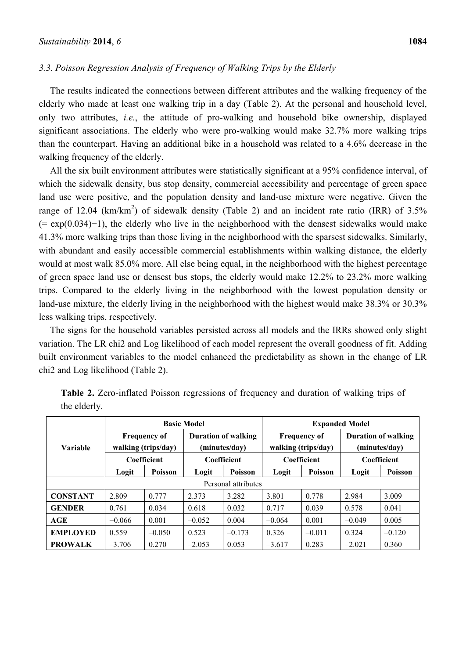## *3.3. Poisson Regression Analysis of Frequency of Walking Trips by the Elderly*

The results indicated the connections between different attributes and the walking frequency of the elderly who made at least one walking trip in a day (Table 2). At the personal and household level, only two attributes, *i.e.*, the attitude of pro-walking and household bike ownership, displayed significant associations. The elderly who were pro-walking would make 32.7% more walking trips than the counterpart. Having an additional bike in a household was related to a 4.6% decrease in the walking frequency of the elderly.

All the six built environment attributes were statistically significant at a 95% confidence interval, of which the sidewalk density, bus stop density, commercial accessibility and percentage of green space land use were positive, and the population density and land-use mixture were negative. Given the range of 12.04 (km/km<sup>2</sup>) of sidewalk density (Table 2) and an incident rate ratio (IRR) of 3.5% (= exp(0.034)−1), the elderly who live in the neighborhood with the densest sidewalks would make 41.3% more walking trips than those living in the neighborhood with the sparsest sidewalks. Similarly, with abundant and easily accessible commercial establishments within walking distance, the elderly would at most walk 85.0% more. All else being equal, in the neighborhood with the highest percentage of green space land use or densest bus stops, the elderly would make 12.2% to 23.2% more walking trips. Compared to the elderly living in the neighborhood with the lowest population density or land-use mixture, the elderly living in the neighborhood with the highest would make 38.3% or 30.3% less walking trips, respectively.

The signs for the household variables persisted across all models and the IRRs showed only slight variation. The LR chi2 and Log likelihood of each model represent the overall goodness of fit. Adding built environment variables to the model enhanced the predictability as shown in the change of LR chi2 and Log likelihood (Table 2).

|                     | <b>Basic Model</b>                         |          |                                             |                | <b>Expanded Model</b> |                                            |                                             |                |  |
|---------------------|--------------------------------------------|----------|---------------------------------------------|----------------|-----------------------|--------------------------------------------|---------------------------------------------|----------------|--|
| <b>Variable</b>     | <b>Frequency of</b><br>walking (trips/day) |          | <b>Duration of walking</b><br>(minutes/dav) |                |                       | <b>Frequency of</b><br>walking (trips/day) | <b>Duration of walking</b><br>(minutes/dav) |                |  |
|                     | Coefficient                                |          | Coefficient                                 |                | Coefficient           |                                            | Coefficient                                 |                |  |
|                     | Logit                                      | Poisson  | Logit                                       | <b>Poisson</b> | Logit                 | <b>Poisson</b>                             | Logit                                       | <b>Poisson</b> |  |
| Personal attributes |                                            |          |                                             |                |                       |                                            |                                             |                |  |
| <b>CONSTANT</b>     | 2.809                                      | 0.777    | 2.373                                       | 3.282          | 3.801                 | 0.778                                      | 2.984                                       | 3.009          |  |
| <b>GENDER</b>       | 0.761                                      | 0.034    | 0.618                                       | 0.032          | 0.717                 | 0.039                                      | 0.578                                       | 0.041          |  |
| AGE                 | $-0.066$                                   | 0.001    | $-0.052$                                    | 0.004          | $-0.064$              | 0.001                                      | $-0.049$                                    | 0.005          |  |
| <b>EMPLOYED</b>     | 0.559                                      | $-0.050$ | 0.523                                       | $-0.173$       | 0.326                 | $-0.011$                                   | 0.324                                       | $-0.120$       |  |
| <b>PROWALK</b>      | $-3.706$                                   | 0.270    | $-2.053$                                    | 0.053          | $-3.617$              | 0.283                                      | $-2.021$                                    | 0.360          |  |

**Table 2.** Zero-inflated Poisson regressions of frequency and duration of walking trips of the elderly.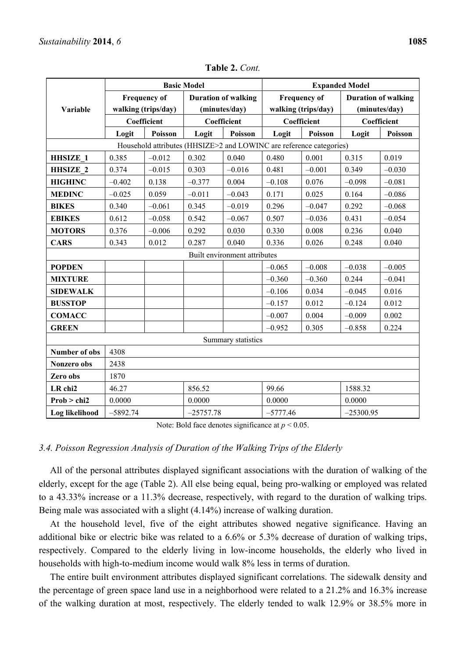|                      | <b>Basic Model</b>                         |                                                                     |                                             |                              | <b>Expanded Model</b>                      |          |                                             |          |
|----------------------|--------------------------------------------|---------------------------------------------------------------------|---------------------------------------------|------------------------------|--------------------------------------------|----------|---------------------------------------------|----------|
|                      | <b>Frequency of</b><br>walking (trips/day) |                                                                     | <b>Duration of walking</b><br>(minutes/day) |                              | <b>Frequency of</b><br>walking (trips/day) |          | <b>Duration of walking</b><br>(minutes/day) |          |
| Variable             |                                            |                                                                     |                                             |                              |                                            |          |                                             |          |
|                      | Coefficient                                |                                                                     | Coefficient                                 |                              | Coefficient                                |          | Coefficient                                 |          |
|                      | Logit                                      | Poisson                                                             | Logit                                       | Poisson                      | Logit<br>Poisson                           |          | Logit                                       | Poisson  |
|                      |                                            | Household attributes (HHSIZE>2 and LOWINC are reference categories) |                                             |                              |                                            |          |                                             |          |
| <b>HHSIZE 1</b>      | 0.385                                      | $-0.012$                                                            | 0.302                                       | 0.040                        | 0.480                                      | 0.001    | 0.315                                       | 0.019    |
| <b>HHSIZE 2</b>      | 0.374                                      | $-0.015$                                                            | 0.303                                       | $-0.016$                     | 0.481                                      | $-0.001$ | 0.349                                       | $-0.030$ |
| <b>HIGHINC</b>       | $-0.402$                                   | 0.138                                                               | $-0.377$                                    | 0.004                        | $-0.108$                                   | 0.076    | $-0.098$                                    | $-0.081$ |
| <b>MEDINC</b>        | $-0.025$                                   | 0.059                                                               | $-0.011$                                    | $-0.043$                     | 0.171                                      | 0.025    | 0.164                                       | $-0.086$ |
| <b>BIKES</b>         | 0.340                                      | $-0.061$                                                            | 0.345                                       | $-0.019$                     | 0.296                                      | $-0.047$ | 0.292                                       | $-0.068$ |
| <b>EBIKES</b>        | 0.612                                      | $-0.058$                                                            | 0.542                                       | $-0.067$                     | 0.507                                      | $-0.036$ | 0.431                                       | $-0.054$ |
| <b>MOTORS</b>        | 0.376                                      | $-0.006$                                                            | 0.292                                       | 0.030                        | 0.330                                      | 0.008    | 0.236                                       | 0.040    |
| <b>CARS</b>          | 0.343                                      | 0.012                                                               | 0.287                                       | 0.040                        | 0.336                                      | 0.026    | 0.248                                       | 0.040    |
|                      |                                            |                                                                     |                                             | Built environment attributes |                                            |          |                                             |          |
| <b>POPDEN</b>        |                                            |                                                                     |                                             |                              | $-0.065$                                   | $-0.008$ | $-0.038$                                    | $-0.005$ |
| <b>MIXTURE</b>       |                                            |                                                                     |                                             |                              | $-0.360$                                   | $-0.360$ | 0.244                                       | $-0.041$ |
| <b>SIDEWALK</b>      |                                            |                                                                     |                                             |                              | $-0.106$                                   | 0.034    | $-0.045$                                    | 0.016    |
| <b>BUSSTOP</b>       |                                            |                                                                     |                                             |                              | $-0.157$                                   | 0.012    | $-0.124$                                    | 0.012    |
| <b>COMACC</b>        |                                            |                                                                     |                                             |                              | $-0.007$                                   | 0.004    | $-0.009$                                    | 0.002    |
| <b>GREEN</b>         |                                            |                                                                     |                                             |                              | $-0.952$                                   | 0.305    | $-0.858$                                    | 0.224    |
| Summary statistics   |                                            |                                                                     |                                             |                              |                                            |          |                                             |          |
| <b>Number of obs</b> | 4308                                       |                                                                     |                                             |                              |                                            |          |                                             |          |
| Nonzero obs          | 2438                                       |                                                                     |                                             |                              |                                            |          |                                             |          |
| Zero obs             | 1870                                       |                                                                     |                                             |                              |                                            |          |                                             |          |
| LR chi2              | 46.27                                      |                                                                     | 856.52                                      |                              | 99.66                                      |          | 1588.32                                     |          |
| Prob > chi2          | 0.0000<br>0.0000                           |                                                                     |                                             | 0.0000                       |                                            | 0.0000   |                                             |          |
| Log likelihood       | $-5892.74$                                 |                                                                     | $-25757.78$                                 |                              | $-5777.46$                                 |          | $-25300.95$                                 |          |

**Table 2.** *Cont.*

Note: Bold face denotes significance at  $p < 0.05$ .

#### *3.4. Poisson Regression Analysis of Duration of the Walking Trips of the Elderly*

All of the personal attributes displayed significant associations with the duration of walking of the elderly, except for the age (Table 2). All else being equal, being pro-walking or employed was related to a 43.33% increase or a 11.3% decrease, respectively, with regard to the duration of walking trips. Being male was associated with a slight (4.14%) increase of walking duration.

At the household level, five of the eight attributes showed negative significance. Having an additional bike or electric bike was related to a 6.6% or 5.3% decrease of duration of walking trips, respectively. Compared to the elderly living in low-income households, the elderly who lived in households with high-to-medium income would walk 8% less in terms of duration.

The entire built environment attributes displayed significant correlations. The sidewalk density and the percentage of green space land use in a neighborhood were related to a 21.2% and 16.3% increase of the walking duration at most, respectively. The elderly tended to walk 12.9% or 38.5% more in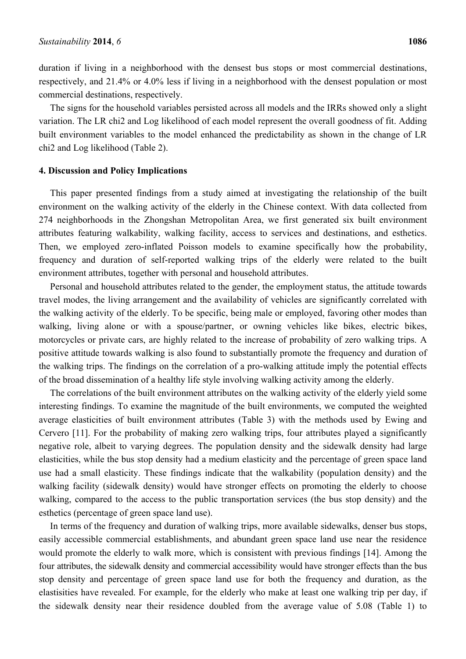duration if living in a neighborhood with the densest bus stops or most commercial destinations, respectively, and 21.4% or 4.0% less if living in a neighborhood with the densest population or most commercial destinations, respectively.

The signs for the household variables persisted across all models and the IRRs showed only a slight variation. The LR chi2 and Log likelihood of each model represent the overall goodness of fit. Adding built environment variables to the model enhanced the predictability as shown in the change of LR chi2 and Log likelihood (Table 2).

## **4. Discussion and Policy Implications**

This paper presented findings from a study aimed at investigating the relationship of the built environment on the walking activity of the elderly in the Chinese context. With data collected from 274 neighborhoods in the Zhongshan Metropolitan Area, we first generated six built environment attributes featuring walkability, walking facility, access to services and destinations, and esthetics. Then, we employed zero-inflated Poisson models to examine specifically how the probability, frequency and duration of self-reported walking trips of the elderly were related to the built environment attributes, together with personal and household attributes.

Personal and household attributes related to the gender, the employment status, the attitude towards travel modes, the living arrangement and the availability of vehicles are significantly correlated with the walking activity of the elderly. To be specific, being male or employed, favoring other modes than walking, living alone or with a spouse/partner, or owning vehicles like bikes, electric bikes, motorcycles or private cars, are highly related to the increase of probability of zero walking trips. A positive attitude towards walking is also found to substantially promote the frequency and duration of the walking trips. The findings on the correlation of a pro-walking attitude imply the potential effects of the broad dissemination of a healthy life style involving walking activity among the elderly.

The correlations of the built environment attributes on the walking activity of the elderly yield some interesting findings. To examine the magnitude of the built environments, we computed the weighted average elasticities of built environment attributes (Table 3) with the methods used by Ewing and Cervero [11]. For the probability of making zero walking trips, four attributes played a significantly negative role, albeit to varying degrees. The population density and the sidewalk density had large elasticities, while the bus stop density had a medium elasticity and the percentage of green space land use had a small elasticity. These findings indicate that the walkability (population density) and the walking facility (sidewalk density) would have stronger effects on promoting the elderly to choose walking, compared to the access to the public transportation services (the bus stop density) and the esthetics (percentage of green space land use).

In terms of the frequency and duration of walking trips, more available sidewalks, denser bus stops, easily accessible commercial establishments, and abundant green space land use near the residence would promote the elderly to walk more, which is consistent with previous findings [14]. Among the four attributes, the sidewalk density and commercial accessibility would have stronger effects than the bus stop density and percentage of green space land use for both the frequency and duration, as the elastisities have revealed. For example, for the elderly who make at least one walking trip per day, if the sidewalk density near their residence doubled from the average value of 5.08 (Table 1) to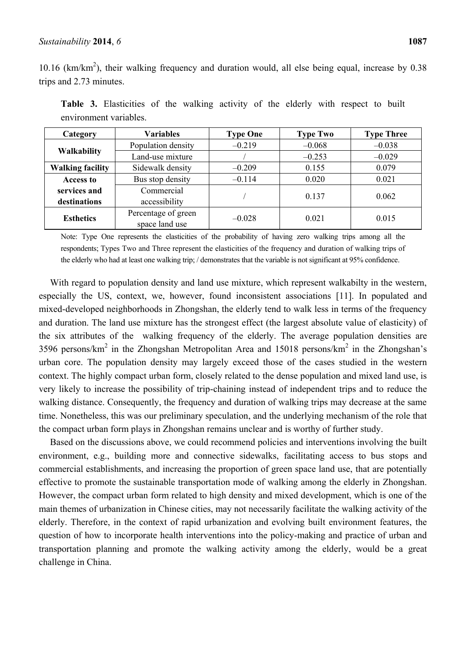10.16 (km/km<sup>2</sup>), their walking frequency and duration would, all else being equal, increase by 0.38 trips and 2.73 minutes.

| Category                   | <b>Variables</b>    | <b>Type One</b> | <b>Type Two</b> | <b>Type Three</b> |  |
|----------------------------|---------------------|-----------------|-----------------|-------------------|--|
|                            | Population density  | $-0.219$        | $-0.068$        | $-0.038$          |  |
| <b>Walkability</b>         | Land-use mixture    |                 | $-0.253$        | $-0.029$          |  |
| <b>Walking facility</b>    | Sidewalk density    | $-0.209$        | 0.155           | 0.079             |  |
| <b>Access to</b>           | Bus stop density    | $-0.114$        | 0.020           | 0.021             |  |
| Commercial<br>services and |                     |                 | 0.137           | 0.062             |  |
| destinations               | accessibility       |                 |                 |                   |  |
| <b>Esthetics</b>           | Percentage of green | $-0.028$        | 0.021           | 0.015             |  |
|                            | space land use      |                 |                 |                   |  |

**Table 3.** Elasticities of the walking activity of the elderly with respect to built environment variables.

Note: Type One represents the elasticities of the probability of having zero walking trips among all the respondents; Types Two and Three represent the elasticities of the frequency and duration of walking trips of the elderly who had at least one walking trip; / demonstrates that the variable is not significant at 95% confidence.

With regard to population density and land use mixture, which represent walkabilty in the western, especially the US, context, we, however, found inconsistent associations [11]. In populated and mixed-developed neighborhoods in Zhongshan, the elderly tend to walk less in terms of the frequency and duration. The land use mixture has the strongest effect (the largest absolute value of elasticity) of the six attributes of the walking frequency of the elderly. The average population densities are 3596 persons/km<sup>2</sup> in the Zhongshan Metropolitan Area and 15018 persons/km<sup>2</sup> in the Zhongshan's urban core. The population density may largely exceed those of the cases studied in the western context. The highly compact urban form, closely related to the dense population and mixed land use, is very likely to increase the possibility of trip-chaining instead of independent trips and to reduce the walking distance. Consequently, the frequency and duration of walking trips may decrease at the same time. Nonetheless, this was our preliminary speculation, and the underlying mechanism of the role that the compact urban form plays in Zhongshan remains unclear and is worthy of further study.

Based on the discussions above, we could recommend policies and interventions involving the built environment, e.g., building more and connective sidewalks, facilitating access to bus stops and commercial establishments, and increasing the proportion of green space land use, that are potentially effective to promote the sustainable transportation mode of walking among the elderly in Zhongshan. However, the compact urban form related to high density and mixed development, which is one of the main themes of urbanization in Chinese cities, may not necessarily facilitate the walking activity of the elderly. Therefore, in the context of rapid urbanization and evolving built environment features, the question of how to incorporate health interventions into the policy-making and practice of urban and transportation planning and promote the walking activity among the elderly, would be a great challenge in China.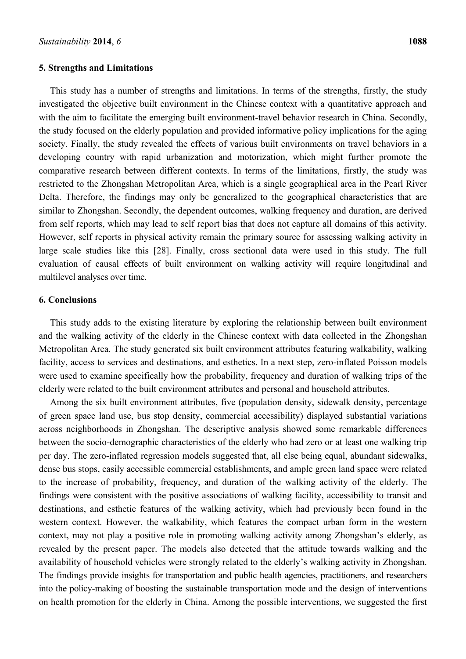#### **5. Strengths and Limitations**

This study has a number of strengths and limitations. In terms of the strengths, firstly, the study investigated the objective built environment in the Chinese context with a quantitative approach and with the aim to facilitate the emerging built environment-travel behavior research in China. Secondly, the study focused on the elderly population and provided informative policy implications for the aging society. Finally, the study revealed the effects of various built environments on travel behaviors in a developing country with rapid urbanization and motorization, which might further promote the comparative research between different contexts. In terms of the limitations, firstly, the study was restricted to the Zhongshan Metropolitan Area, which is a single geographical area in the Pearl River Delta. Therefore, the findings may only be generalized to the geographical characteristics that are similar to Zhongshan. Secondly, the dependent outcomes, walking frequency and duration, are derived from self reports, which may lead to self report bias that does not capture all domains of this activity. However, self reports in physical activity remain the primary source for assessing walking activity in large scale studies like this [28]. Finally, cross sectional data were used in this study. The full evaluation of causal effects of built environment on walking activity will require longitudinal and multilevel analyses over time.

## **6. Conclusions**

This study adds to the existing literature by exploring the relationship between built environment and the walking activity of the elderly in the Chinese context with data collected in the Zhongshan Metropolitan Area. The study generated six built environment attributes featuring walkability, walking facility, access to services and destinations, and esthetics. In a next step, zero-inflated Poisson models were used to examine specifically how the probability, frequency and duration of walking trips of the elderly were related to the built environment attributes and personal and household attributes.

Among the six built environment attributes, five (population density, sidewalk density, percentage of green space land use, bus stop density, commercial accessibility) displayed substantial variations across neighborhoods in Zhongshan. The descriptive analysis showed some remarkable differences between the socio-demographic characteristics of the elderly who had zero or at least one walking trip per day. The zero-inflated regression models suggested that, all else being equal, abundant sidewalks, dense bus stops, easily accessible commercial establishments, and ample green land space were related to the increase of probability, frequency, and duration of the walking activity of the elderly. The findings were consistent with the positive associations of walking facility, accessibility to transit and destinations, and esthetic features of the walking activity, which had previously been found in the western context. However, the walkability, which features the compact urban form in the western context, may not play a positive role in promoting walking activity among Zhongshan's elderly, as revealed by the present paper. The models also detected that the attitude towards walking and the availability of household vehicles were strongly related to the elderly's walking activity in Zhongshan. The findings provide insights for transportation and public health agencies, practitioners, and researchers into the policy-making of boosting the sustainable transportation mode and the design of interventions on health promotion for the elderly in China. Among the possible interventions, we suggested the first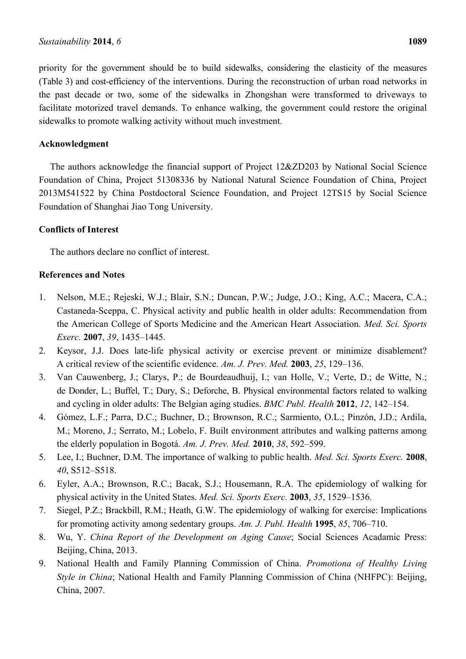priority for the government should be to build sidewalks, considering the elasticity of the measures (Table 3) and cost-efficiency of the interventions. During the reconstruction of urban road networks in the past decade or two, some of the sidewalks in Zhongshan were transformed to driveways to facilitate motorized travel demands. To enhance walking, the government could restore the original sidewalks to promote walking activity without much investment.

## **Acknowledgment**

The authors acknowledge the financial support of Project 12&ZD203 by National Social Science Foundation of China, Project 51308336 by National Natural Science Foundation of China, Project 2013M541522 by China Postdoctoral Science Foundation, and Project 12TS15 by Social Science Foundation of Shanghai Jiao Tong University.

## **Conflicts of Interest**

The authors declare no conflict of interest.

## **References and Notes**

- 1. Nelson, M.E.; Rejeski, W.J.; Blair, S.N.; Duncan, P.W.; Judge, J.O.; King, A.C.; Macera, C.A.; Castaneda-Sceppa, C. Physical activity and public health in older adults: Recommendation from the American College of Sports Medicine and the American Heart Association. *Med. Sci. Sports Exerc.* **2007**, *39*, 1435–1445.
- 2. Keysor, J.J. Does late-life physical activity or exercise prevent or minimize disablement? A critical review of the scientific evidence. *Am. J. Prev. Med.* **2003**, *25*, 129–136.
- 3. Van Cauwenberg, J.; Clarys, P.; de Bourdeaudhuij, I.; van Holle, V.; Verte, D.; de Witte, N.; de Donder, L.; Buffel, T.; Dury, S.; Deforche, B. Physical environmental factors related to walking and cycling in older adults: The Belgian aging studies. *BMC Publ. Health* **2012**, *12*, 142–154.
- 4. Gómez, L.F.; Parra, D.C.; Buchner, D.; Brownson, R.C.; Sarmiento, O.L.; Pinzón, J.D.; Ardila, M.; Moreno, J.; Serrato, M.; Lobelo, F. Built environment attributes and walking patterns among the elderly population in Bogotá. *Am. J. Prev. Med.* **2010**, *38*, 592–599.
- 5. Lee, I.; Buchner, D.M. The importance of walking to public health. *Med. Sci. Sports Exerc.* **2008**, *40*, S512–S518.
- 6. Eyler, A.A.; Brownson, R.C.; Bacak, S.J.; Housemann, R.A. The epidemiology of walking for physical activity in the United States. *Med. Sci. Sports Exerc.* **2003**, *35*, 1529–1536.
- 7. Siegel, P.Z.; Brackbill, R.M.; Heath, G.W. The epidemiology of walking for exercise: Implications for promoting activity among sedentary groups. *Am. J. Publ. Health* **1995**, *85*, 706–710.
- 8. Wu, Y. *China Report of the Development on Aging Cause*; Social Sciences Acadamic Press: Beijing, China, 2013.
- 9. National Health and Family Planning Commission of China. *Promotiona of Healthy Living Style in China*; National Health and Family Planning Commission of China (NHFPC): Beijing, China, 2007.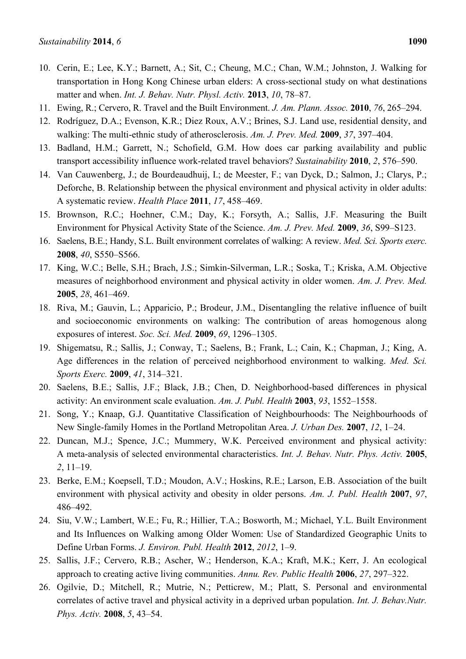- 10. Cerin, E.; Lee, K.Y.; Barnett, A.; Sit, C.; Cheung, M.C.; Chan, W.M.; Johnston, J. Walking for transportation in Hong Kong Chinese urban elders: A cross-sectional study on what destinations matter and when. *Int. J. Behav. Nutr. Physl. Activ.* **2013**, *10*, 78–87.
- 11. Ewing, R.; Cervero, R. Travel and the Built Environment. *J. Am. Plann. Assoc.* **2010**, *76*, 265–294.
- 12. Rodríguez, D.A.; Evenson, K.R.; Diez Roux, A.V.; Brines, S.J. Land use, residential density, and walking: The multi-ethnic study of atherosclerosis. *Am. J. Prev. Med.* **2009**, *37*, 397–404.
- 13. Badland, H.M.; Garrett, N.; Schofield, G.M. How does car parking availability and public transport accessibility influence work-related travel behaviors? *Sustainability* **2010**, *2*, 576–590.
- 14. Van Cauwenberg, J.; de Bourdeaudhuij, I.; de Meester, F.; van Dyck, D.; Salmon, J.; Clarys, P.; Deforche, B. Relationship between the physical environment and physical activity in older adults: A systematic review. *Health Place* **2011**, *17*, 458–469.
- 15. Brownson, R.C.; Hoehner, C.M.; Day, K.; Forsyth, A.; Sallis, J.F. Measuring the Built Environment for Physical Activity State of the Science. *Am. J. Prev. Med.* **2009**, *36*, S99–S123.
- 16. Saelens, B.E.; Handy, S.L. Built environment correlates of walking: A review. *Med. Sci. Sports exerc.* **2008**, *40*, S550–S566.
- 17. King, W.C.; Belle, S.H.; Brach, J.S.; Simkin-Silverman, L.R.; Soska, T.; Kriska, A.M. Objective measures of neighborhood environment and physical activity in older women. *Am. J. Prev. Med.*  **2005**, *28*, 461–469.
- 18. Riva, M.; Gauvin, L.; Apparicio, P.; Brodeur, J.M., Disentangling the relative influence of built and socioeconomic environments on walking: The contribution of areas homogenous along exposures of interest. *Soc. Sci. Med.* **2009**, *69*, 1296–1305.
- 19. Shigematsu, R.; Sallis, J.; Conway, T.; Saelens, B.; Frank, L.; Cain, K.; Chapman, J.; King, A. Age differences in the relation of perceived neighborhood environment to walking. *Med. Sci. Sports Exerc.* **2009**, *41*, 314–321.
- 20. Saelens, B.E.; Sallis, J.F.; Black, J.B.; Chen, D. Neighborhood-based differences in physical activity: An environment scale evaluation. *Am. J. Publ. Health* **2003**, *93*, 1552–1558.
- 21. Song, Y.; Knaap, G.J. Quantitative Classification of Neighbourhoods: The Neighbourhoods of New Single-family Homes in the Portland Metropolitan Area. *J. Urban Des.* **2007**, *12*, 1–24.
- 22. Duncan, M.J.; Spence, J.C.; Mummery, W.K. Perceived environment and physical activity: A meta-analysis of selected environmental characteristics. *Int. J. Behav. Nutr. Phys. Activ.* **2005**, *2*, 11–19.
- 23. Berke, E.M.; Koepsell, T.D.; Moudon, A.V.; Hoskins, R.E.; Larson, E.B. Association of the built environment with physical activity and obesity in older persons. *Am. J. Publ. Health* **2007**, *97*, 486–492.
- 24. Siu, V.W.; Lambert, W.E.; Fu, R.; Hillier, T.A.; Bosworth, M.; Michael, Y.L. Built Environment and Its Influences on Walking among Older Women: Use of Standardized Geographic Units to Define Urban Forms. *J. Environ. Publ. Health* **2012**, *2012*, 1–9.
- 25. Sallis, J.F.; Cervero, R.B.; Ascher, W.; Henderson, K.A.; Kraft, M.K.; Kerr, J. An ecological approach to creating active living communities. *Annu. Rev. Public Health* **2006**, *27*, 297–322.
- 26. Ogilvie, D.; Mitchell, R.; Mutrie, N.; Petticrew, M.; Platt, S. Personal and environmental correlates of active travel and physical activity in a deprived urban population. *Int. J. Behav.Nutr. Phys. Activ.* **2008**, *5*, 43–54.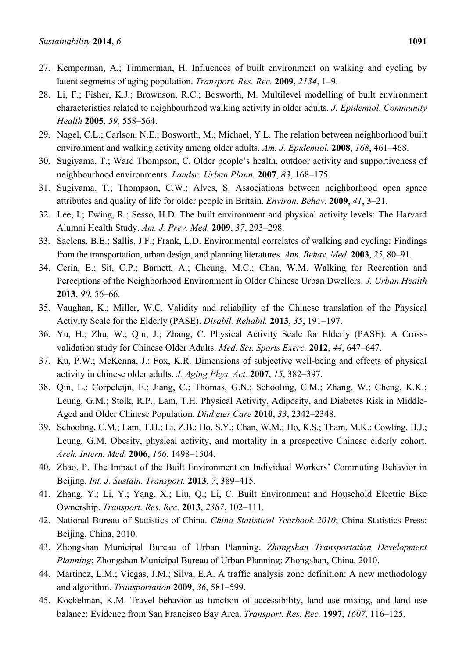- 27. Kemperman, A.; Timmerman, H. Influences of built environment on walking and cycling by latent segments of aging population. *Transport. Res. Rec.* **2009**, *2134*, 1–9.
- 28. Li, F.; Fisher, K.J.; Brownson, R.C.; Bosworth, M. Multilevel modelling of built environment characteristics related to neighbourhood walking activity in older adults. *J. Epidemiol. Community Health* **2005**, *59*, 558–564.
- 29. Nagel, C.L.; Carlson, N.E.; Bosworth, M.; Michael, Y.L. The relation between neighborhood built environment and walking activity among older adults. *Am. J. Epidemiol.* **2008**, *168*, 461–468.
- 30. Sugiyama, T.; Ward Thompson, C. Older people's health, outdoor activity and supportiveness of neighbourhood environments. *Landsc. Urban Plann.* **2007**, *83*, 168–175.
- 31. Sugiyama, T.; Thompson, C.W.; Alves, S. Associations between neighborhood open space attributes and quality of life for older people in Britain. *Environ. Behav.* **2009**, *41*, 3–21.
- 32. Lee, I.; Ewing, R.; Sesso, H.D. The built environment and physical activity levels: The Harvard Alumni Health Study. *Am. J. Prev. Med.* **2009**, *37*, 293–298.
- 33. Saelens, B.E.; Sallis, J.F.; Frank, L.D. Environmental correlates of walking and cycling: Findings from the transportation, urban design, and planning literatures. *Ann. Behav. Med.* **2003**, *25*, 80–91.
- 34. Cerin, E.; Sit, C.P.; Barnett, A.; Cheung, M.C.; Chan, W.M. Walking for Recreation and Perceptions of the Neighborhood Environment in Older Chinese Urban Dwellers. *J. Urban Health*  **2013**, *90*, 56–66.
- 35. Vaughan, K.; Miller, W.C. Validity and reliability of the Chinese translation of the Physical Activity Scale for the Elderly (PASE). *Disabil. Rehabil.* **2013**, *35*, 191–197.
- 36. Yu, H.; Zhu, W.; Qiu, J.; Zhang, C. Physical Activity Scale for Elderly (PASE): A Crossvalidation study for Chinese Older Adults. *Med. Sci. Sports Exerc.* **2012**, *44*, 647–647.
- 37. Ku, P.W.; McKenna, J.; Fox, K.R. Dimensions of subjective well-being and effects of physical activity in chinese older adults. *J. Aging Phys. Act.* **2007**, *15*, 382–397.
- 38. Qin, L.; Corpeleijn, E.; Jiang, C.; Thomas, G.N.; Schooling, C.M.; Zhang, W.; Cheng, K.K.; Leung, G.M.; Stolk, R.P.; Lam, T.H. Physical Activity, Adiposity, and Diabetes Risk in Middle-Aged and Older Chinese Population. *Diabetes Care* **2010**, *33*, 2342–2348.
- 39. Schooling, C.M.; Lam, T.H.; Li, Z.B.; Ho, S.Y.; Chan, W.M.; Ho, K.S.; Tham, M.K.; Cowling, B.J.; Leung, G.M. Obesity, physical activity, and mortality in a prospective Chinese elderly cohort. *Arch. Intern. Med.* **2006**, *166*, 1498–1504.
- 40. Zhao, P. The Impact of the Built Environment on Individual Workers' Commuting Behavior in Beijing. *Int. J. Sustain. Transport.* **2013**, *7*, 389–415.
- 41. Zhang, Y.; Li, Y.; Yang, X.; Liu, Q.; Li, C. Built Environment and Household Electric Bike Ownership. *Transport. Res. Rec.* **2013**, *2387*, 102–111.
- 42. National Bureau of Statistics of China. *China Statistical Yearbook 2010*; China Statistics Press: Beijing, China, 2010.
- 43. Zhongshan Municipal Bureau of Urban Planning. *Zhongshan Transportation Development Planning*; Zhongshan Municipal Bureau of Urban Planning: Zhongshan, China, 2010.
- 44. Martinez, L.M.; Viegas, J.M.; Silva, E.A. A traffic analysis zone definition: A new methodology and algorithm. *Transportation* **2009**, *36*, 581–599.
- 45. Kockelman, K.M. Travel behavior as function of accessibility, land use mixing, and land use balance: Evidence from San Francisco Bay Area. *Transport. Res. Rec.* **1997**, *1607*, 116–125.